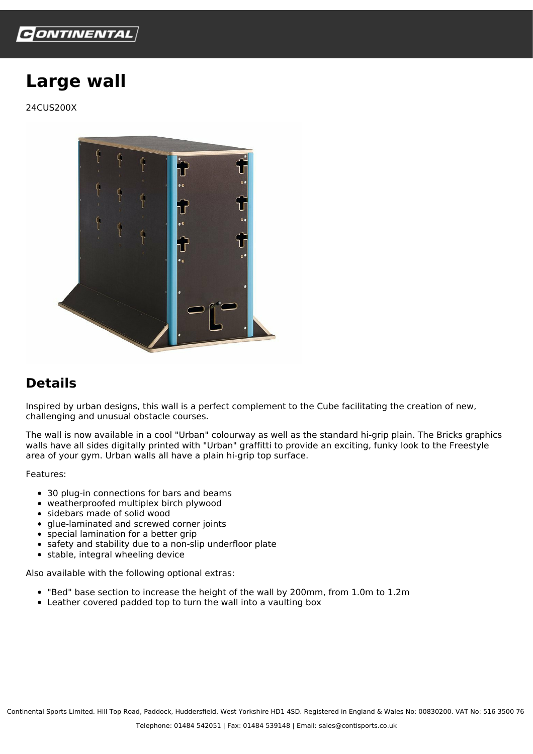

## **Large wall**

24CUS200X



## **Details**

Inspired by urban designs, this wall is a perfect complement to the Cube facilitating the creation of new, challenging and unusual obstacle courses.

The wall is now available in a cool "Urban" colourway as well as the standard hi-grip plain. The Bricks graphics walls have all sides digitally printed with "Urban" graffitti to provide an exciting, funky look to the Freestyle area of your gym. Urban walls all have a plain hi-grip top surface.

Features:

- 30 plug-in connections for bars and beams
- weatherproofed multiplex birch plywood
- sidebars made of solid wood
- glue-laminated and screwed corner joints
- special lamination for a better grip
- safety and stability due to a non-slip underfloor plate
- $\bullet$  stable, integral wheeling device

Also available with the following optional extras:

- "Bed" base section to increase the height of the wall by 200mm, from 1.0m to 1.2m
- Leather covered padded top to turn the wall into a vaulting box